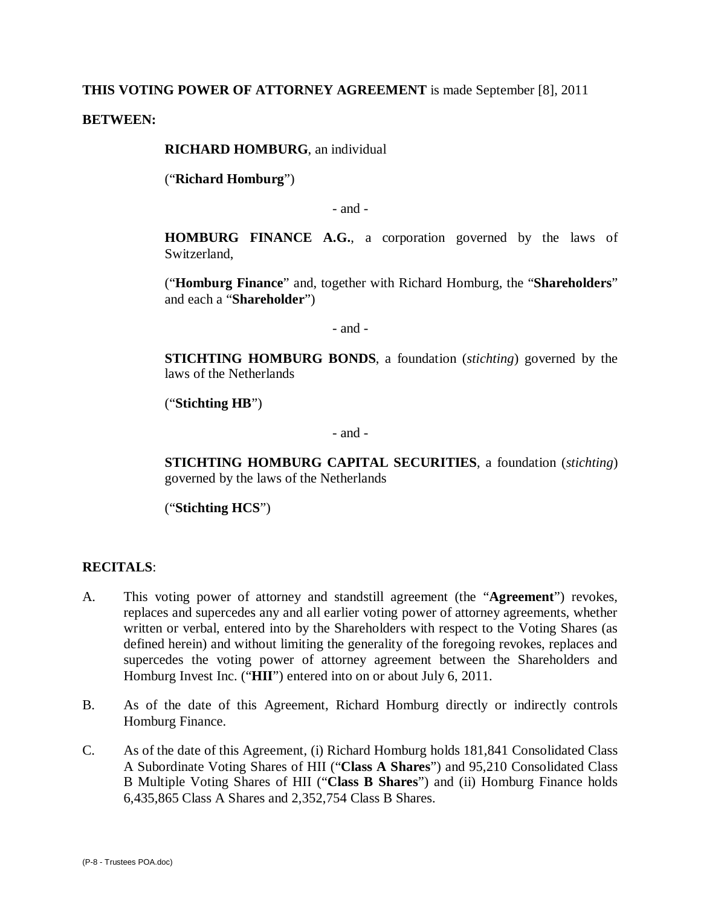### **THIS VOTING POWER OF ATTORNEY AGREEMENT** is made September [8], 2011

**BETWEEN:**

**RICHARD HOMBURG**, an individual

("**Richard Homburg**")

- and -

**HOMBURG FINANCE A.G.**, a corporation governed by the laws of Switzerland,

("**Homburg Finance**" and, together with Richard Homburg, the "**Shareholders**" and each a "**Shareholder**")

- and -

**STICHTING HOMBURG BONDS**, a foundation (*stichting*) governed by the laws of the Netherlands

("**Stichting HB**")

- and -

**STICHTING HOMBURG CAPITAL SECURITIES**, a foundation (*stichting*) governed by the laws of the Netherlands

("**Stichting HCS**")

#### **RECITALS**:

- A. This voting power of attorney and standstill agreement (the "**Agreement**") revokes, replaces and supercedes any and all earlier voting power of attorney agreements, whether written or verbal, entered into by the Shareholders with respect to the Voting Shares (as defined herein) and without limiting the generality of the foregoing revokes, replaces and supercedes the voting power of attorney agreement between the Shareholders and Homburg Invest Inc. ("**HII**") entered into on or about July 6, 2011.
- B. As of the date of this Agreement, Richard Homburg directly or indirectly controls Homburg Finance.
- C. As of the date of this Agreement, (i) Richard Homburg holds 181,841 Consolidated Class A Subordinate Voting Shares of HII ("**Class A Shares**") and 95,210 Consolidated Class B Multiple Voting Shares of HII ("**Class B Shares**") and (ii) Homburg Finance holds 6,435,865 Class A Shares and 2,352,754 Class B Shares.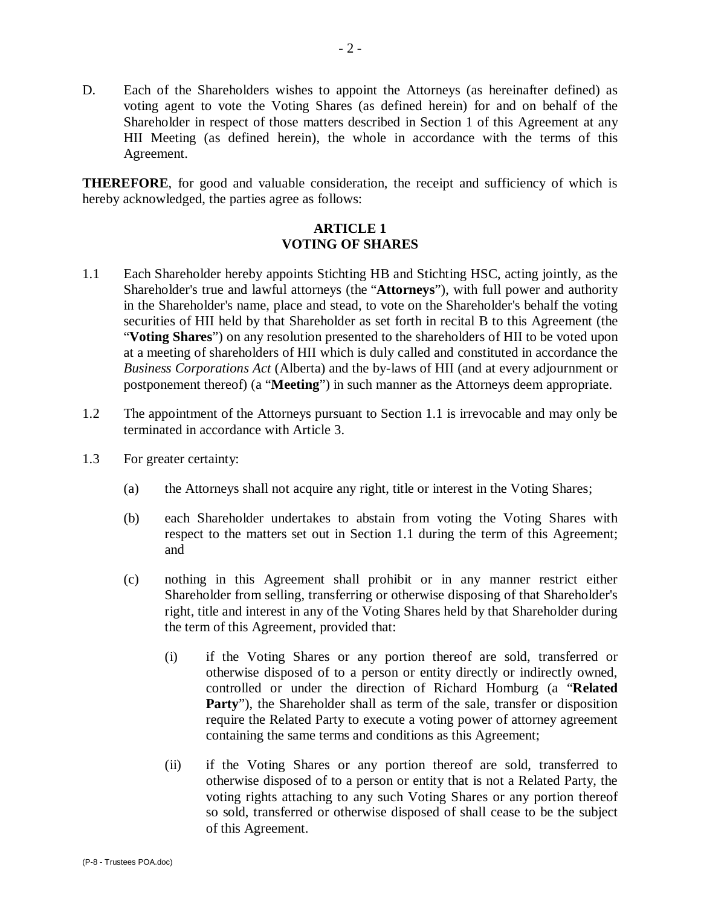D. Each of the Shareholders wishes to appoint the Attorneys (as hereinafter defined) as voting agent to vote the Voting Shares (as defined herein) for and on behalf of the Shareholder in respect of those matters described in Section 1 of this Agreement at any HII Meeting (as defined herein), the whole in accordance with the terms of this Agreement.

**THEREFORE**, for good and valuable consideration, the receipt and sufficiency of which is hereby acknowledged, the parties agree as follows:

# **ARTICLE 1 VOTING OF SHARES**

- 1.1 Each Shareholder hereby appoints Stichting HB and Stichting HSC, acting jointly, as the Shareholder's true and lawful attorneys (the "**Attorneys**"), with full power and authority in the Shareholder's name, place and stead, to vote on the Shareholder's behalf the voting securities of HII held by that Shareholder as set forth in recital B to this Agreement (the "**Voting Shares**") on any resolution presented to the shareholders of HII to be voted upon at a meeting of shareholders of HII which is duly called and constituted in accordance the *Business Corporations Act* (Alberta) and the by-laws of HII (and at every adjournment or postponement thereof) (a "**Meeting**") in such manner as the Attorneys deem appropriate.
- 1.2 The appointment of the Attorneys pursuant to Section 1.1 is irrevocable and may only be terminated in accordance with Article 3.
- 1.3 For greater certainty:
	- (a) the Attorneys shall not acquire any right, title or interest in the Voting Shares;
	- (b) each Shareholder undertakes to abstain from voting the Voting Shares with respect to the matters set out in Section 1.1 during the term of this Agreement; and
	- (c) nothing in this Agreement shall prohibit or in any manner restrict either Shareholder from selling, transferring or otherwise disposing of that Shareholder's right, title and interest in any of the Voting Shares held by that Shareholder during the term of this Agreement, provided that:
		- (i) if the Voting Shares or any portion thereof are sold, transferred or otherwise disposed of to a person or entity directly or indirectly owned, controlled or under the direction of Richard Homburg (a "**Related**  Party"), the Shareholder shall as term of the sale, transfer or disposition require the Related Party to execute a voting power of attorney agreement containing the same terms and conditions as this Agreement;
		- (ii) if the Voting Shares or any portion thereof are sold, transferred to otherwise disposed of to a person or entity that is not a Related Party, the voting rights attaching to any such Voting Shares or any portion thereof so sold, transferred or otherwise disposed of shall cease to be the subject of this Agreement.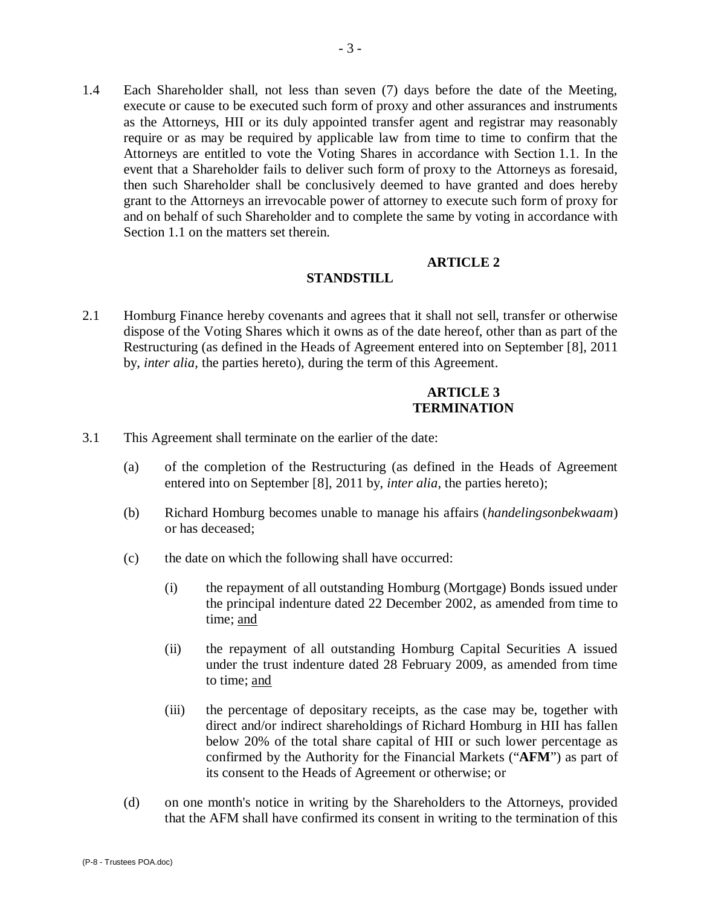1.4 Each Shareholder shall, not less than seven (7) days before the date of the Meeting, execute or cause to be executed such form of proxy and other assurances and instruments as the Attorneys, HII or its duly appointed transfer agent and registrar may reasonably require or as may be required by applicable law from time to time to confirm that the Attorneys are entitled to vote the Voting Shares in accordance with Section 1.1. In the event that a Shareholder fails to deliver such form of proxy to the Attorneys as foresaid, then such Shareholder shall be conclusively deemed to have granted and does hereby grant to the Attorneys an irrevocable power of attorney to execute such form of proxy for and on behalf of such Shareholder and to complete the same by voting in accordance with Section 1.1 on the matters set therein.

#### **ARTICLE 2**

### **STANDSTILL**

2.1 Homburg Finance hereby covenants and agrees that it shall not sell, transfer or otherwise dispose of the Voting Shares which it owns as of the date hereof, other than as part of the Restructuring (as defined in the Heads of Agreement entered into on September [8], 2011 by, *inter alia,* the parties hereto), during the term of this Agreement.

### **ARTICLE 3 TERMINATION**

- 3.1 This Agreement shall terminate on the earlier of the date:
	- (a) of the completion of the Restructuring (as defined in the Heads of Agreement entered into on September [8], 2011 by, *inter alia,* the parties hereto);
	- (b) Richard Homburg becomes unable to manage his affairs (*handelingsonbekwaam*) or has deceased;
	- (c) the date on which the following shall have occurred:
		- (i) the repayment of all outstanding Homburg (Mortgage) Bonds issued under the principal indenture dated 22 December 2002, as amended from time to time; and
		- (ii) the repayment of all outstanding Homburg Capital Securities A issued under the trust indenture dated 28 February 2009, as amended from time to time; and
		- (iii) the percentage of depositary receipts, as the case may be, together with direct and/or indirect shareholdings of Richard Homburg in HII has fallen below 20% of the total share capital of HII or such lower percentage as confirmed by the Authority for the Financial Markets ("**AFM**") as part of its consent to the Heads of Agreement or otherwise; or
	- (d) on one month's notice in writing by the Shareholders to the Attorneys, provided that the AFM shall have confirmed its consent in writing to the termination of this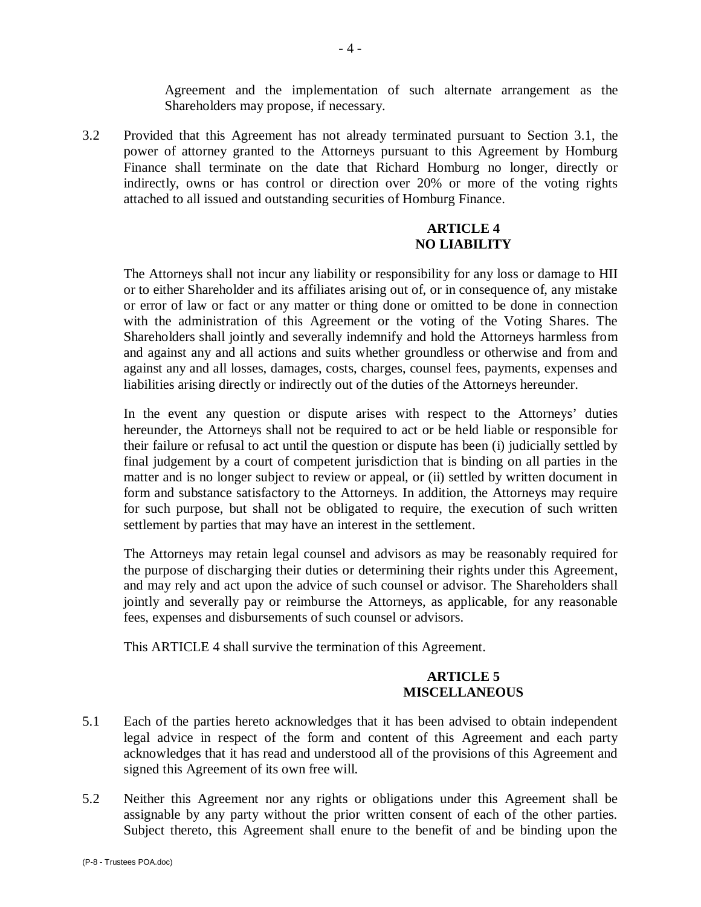Agreement and the implementation of such alternate arrangement as the Shareholders may propose, if necessary.

3.2 Provided that this Agreement has not already terminated pursuant to Section 3.1, the power of attorney granted to the Attorneys pursuant to this Agreement by Homburg Finance shall terminate on the date that Richard Homburg no longer, directly or indirectly, owns or has control or direction over 20% or more of the voting rights attached to all issued and outstanding securities of Homburg Finance.

## **ARTICLE 4 NO LIABILITY**

The Attorneys shall not incur any liability or responsibility for any loss or damage to HII or to either Shareholder and its affiliates arising out of, or in consequence of, any mistake or error of law or fact or any matter or thing done or omitted to be done in connection with the administration of this Agreement or the voting of the Voting Shares. The Shareholders shall jointly and severally indemnify and hold the Attorneys harmless from and against any and all actions and suits whether groundless or otherwise and from and against any and all losses, damages, costs, charges, counsel fees, payments, expenses and liabilities arising directly or indirectly out of the duties of the Attorneys hereunder.

In the event any question or dispute arises with respect to the Attorneys' duties hereunder, the Attorneys shall not be required to act or be held liable or responsible for their failure or refusal to act until the question or dispute has been (i) judicially settled by final judgement by a court of competent jurisdiction that is binding on all parties in the matter and is no longer subject to review or appeal, or (ii) settled by written document in form and substance satisfactory to the Attorneys. In addition, the Attorneys may require for such purpose, but shall not be obligated to require, the execution of such written settlement by parties that may have an interest in the settlement.

The Attorneys may retain legal counsel and advisors as may be reasonably required for the purpose of discharging their duties or determining their rights under this Agreement, and may rely and act upon the advice of such counsel or advisor. The Shareholders shall jointly and severally pay or reimburse the Attorneys, as applicable, for any reasonable fees, expenses and disbursements of such counsel or advisors.

This ARTICLE 4 shall survive the termination of this Agreement.

# **ARTICLE 5 MISCELLANEOUS**

- 5.1 Each of the parties hereto acknowledges that it has been advised to obtain independent legal advice in respect of the form and content of this Agreement and each party acknowledges that it has read and understood all of the provisions of this Agreement and signed this Agreement of its own free will.
- 5.2 Neither this Agreement nor any rights or obligations under this Agreement shall be assignable by any party without the prior written consent of each of the other parties. Subject thereto, this Agreement shall enure to the benefit of and be binding upon the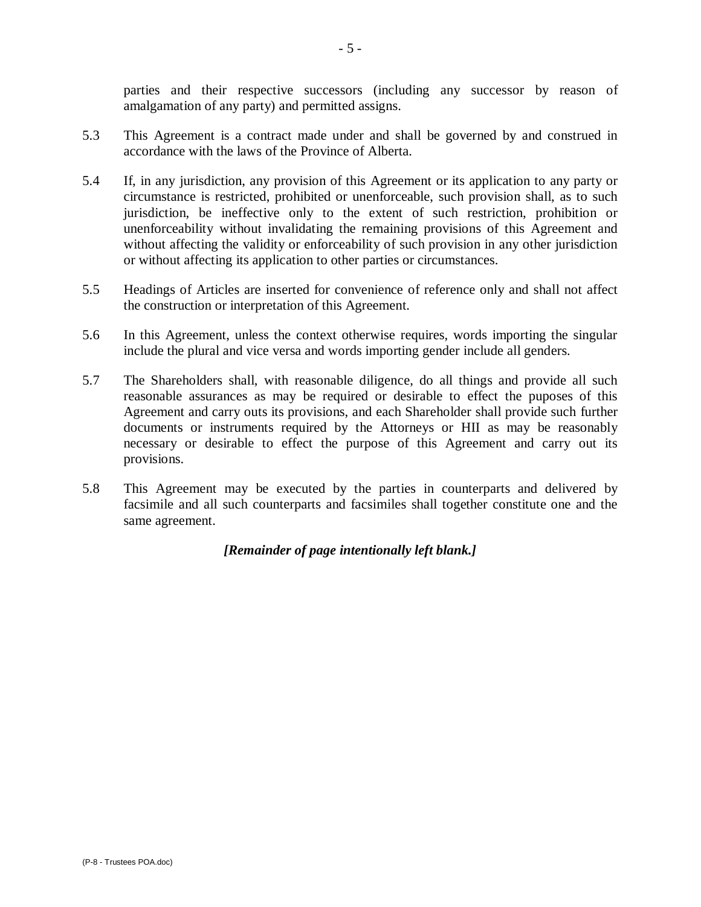parties and their respective successors (including any successor by reason of amalgamation of any party) and permitted assigns.

- 5.3 This Agreement is a contract made under and shall be governed by and construed in accordance with the laws of the Province of Alberta.
- 5.4 If, in any jurisdiction, any provision of this Agreement or its application to any party or circumstance is restricted, prohibited or unenforceable, such provision shall, as to such jurisdiction, be ineffective only to the extent of such restriction, prohibition or unenforceability without invalidating the remaining provisions of this Agreement and without affecting the validity or enforceability of such provision in any other jurisdiction or without affecting its application to other parties or circumstances.
- 5.5 Headings of Articles are inserted for convenience of reference only and shall not affect the construction or interpretation of this Agreement.
- 5.6 In this Agreement, unless the context otherwise requires, words importing the singular include the plural and vice versa and words importing gender include all genders.
- 5.7 The Shareholders shall, with reasonable diligence, do all things and provide all such reasonable assurances as may be required or desirable to effect the puposes of this Agreement and carry outs its provisions, and each Shareholder shall provide such further documents or instruments required by the Attorneys or HII as may be reasonably necessary or desirable to effect the purpose of this Agreement and carry out its provisions.
- 5.8 This Agreement may be executed by the parties in counterparts and delivered by facsimile and all such counterparts and facsimiles shall together constitute one and the same agreement.

*[Remainder of page intentionally left blank.]*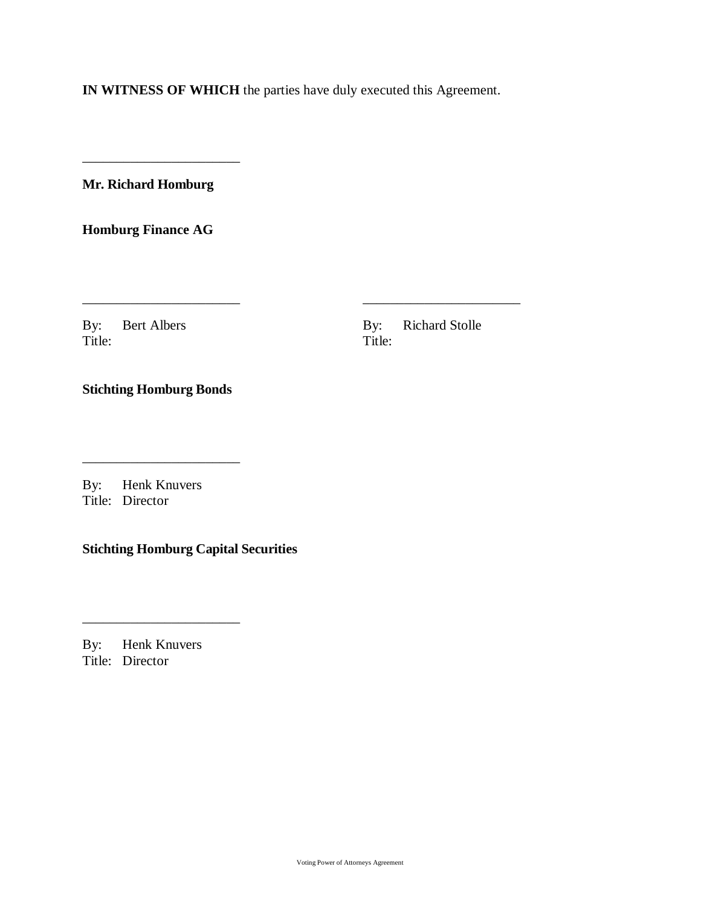**IN WITNESS OF WHICH** the parties have duly executed this Agreement.

\_\_\_\_\_\_\_\_\_\_\_\_\_\_\_\_\_\_\_\_\_\_\_ \_\_\_\_\_\_\_\_\_\_\_\_\_\_\_\_\_\_\_\_\_\_\_

**Mr. Richard Homburg**

\_\_\_\_\_\_\_\_\_\_\_\_\_\_\_\_\_\_\_\_\_\_\_

**Homburg Finance AG**

Title: The Title:

By: Bert Albers By: Richard Stolle<br>Title: Title:

**Stichting Homburg Bonds**

\_\_\_\_\_\_\_\_\_\_\_\_\_\_\_\_\_\_\_\_\_\_\_

By: Henk Knuvers Title: Director

**Stichting Homburg Capital Securities**

By: Henk Knuvers Title: Director

\_\_\_\_\_\_\_\_\_\_\_\_\_\_\_\_\_\_\_\_\_\_\_